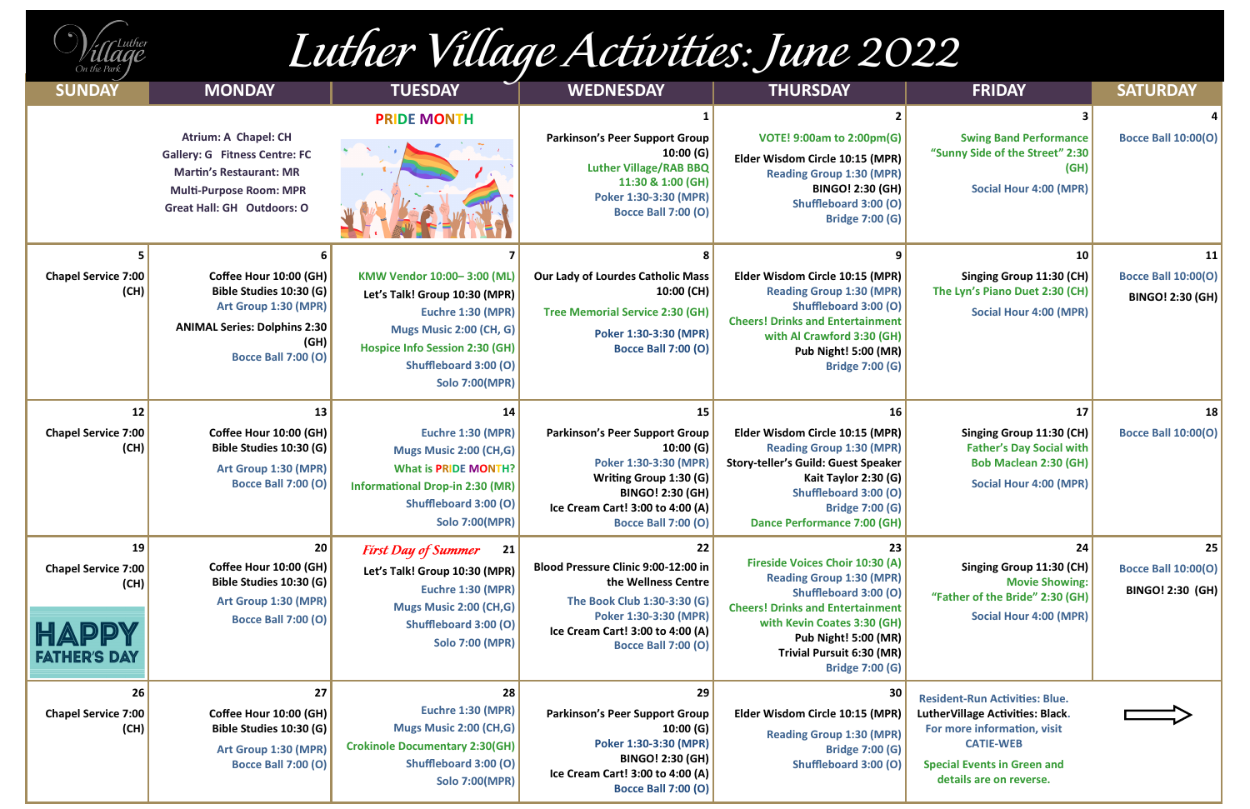# Luther Village Activities: June 2022

| $\mathcal{U}$ Luther<br>Illade |  |
|--------------------------------|--|
| On the Park                    |  |

| <b>SUNDAY</b>                                                            | <b>MONDAY</b>                                                                                                                                                                | <b>TUESDAY</b>                                                                                                                                                                                         | <b>WEDNESDAY</b>                                                                                                                                                                                        | <b>THURSDAY</b>                                                                                                                                                                                                                                                                        | <b>FRIDAY</b>                                                                                                                                                                                 | <b>SATURDAY</b>                                              |
|--------------------------------------------------------------------------|------------------------------------------------------------------------------------------------------------------------------------------------------------------------------|--------------------------------------------------------------------------------------------------------------------------------------------------------------------------------------------------------|---------------------------------------------------------------------------------------------------------------------------------------------------------------------------------------------------------|----------------------------------------------------------------------------------------------------------------------------------------------------------------------------------------------------------------------------------------------------------------------------------------|-----------------------------------------------------------------------------------------------------------------------------------------------------------------------------------------------|--------------------------------------------------------------|
|                                                                          | <b>Atrium: A Chapel: CH</b><br><b>Gallery: G Fitness Centre: FC</b><br><b>Martin's Restaurant: MR</b><br><b>Multi-Purpose Room: MPR</b><br><b>Great Hall: GH Outdoors: O</b> | <b>PRIDE MONTH</b>                                                                                                                                                                                     | <b>Parkinson's Peer Support Group</b><br>10:00(G)<br><b>Luther Village/RAB BBQ</b><br>11:30 & 1:00 (GH)<br>Poker 1:30-3:30 (MPR)<br><b>Bocce Ball 7:00 (O)</b>                                          | <b>VOTE! 9:00am to 2:00pm(G)</b><br>Elder Wisdom Circle 10:15 (MPR)<br><b>Reading Group 1:30 (MPR)</b><br><b>BINGO! 2:30 (GH)</b><br><b>Shuffleboard 3:00 (O)</b><br><b>Bridge 7:00 (G)</b>                                                                                            | <b>Swing Band Performance</b><br>"Sunny Side of the Street" 2:30<br>(GH)<br>Social Hour 4:00 (MPR)                                                                                            | <b>Bocce Ball 10:00(O)</b>                                   |
| <b>Chapel Service 7:00</b><br>(CH)                                       | Coffee Hour 10:00 (GH)<br>Bible Studies 10:30 (G)<br>Art Group 1:30 (MPR)<br><b>ANIMAL Series: Dolphins 2:30</b><br>(GH)<br><b>Bocce Ball 7:00 (O)</b>                       | KMW Vendor 10:00-3:00 (ML)<br>Let's Talk! Group 10:30 (MPR)<br>Euchre 1:30 (MPR)<br>Mugs Music 2:00 (CH, G)<br><b>Hospice Info Session 2:30 (GH)</b><br>Shuffleboard 3:00 (O)<br><b>Solo 7:00(MPR)</b> | <b>Our Lady of Lourdes Catholic Mass</b><br>10:00 (CH)<br><b>Tree Memorial Service 2:30 (GH)</b><br>Poker 1:30-3:30 (MPR)<br><b>Bocce Ball 7:00 (O)</b>                                                 | Elder Wisdom Circle 10:15 (MPR)<br><b>Reading Group 1:30 (MPR)</b><br>Shuffleboard 3:00 (O)<br><b>Cheers! Drinks and Entertainment</b><br>with Al Crawford 3:30 (GH)<br><b>Pub Night! 5:00 (MR)</b><br><b>Bridge 7:00 (G)</b>                                                          | 10 <sup>1</sup><br>Singing Group 11:30 (CH)<br>The Lyn's Piano Duet 2:30 (CH)<br>Social Hour 4:00 (MPR)                                                                                       | 11 <br><b>Bocce Ball 10:00(O)</b><br><b>BINGO! 2:30 (GH)</b> |
| 12<br><b>Chapel Service 7:00</b><br>(CH)                                 | 13<br>Coffee Hour 10:00 (GH)<br>Bible Studies 10:30 (G)<br>Art Group 1:30 (MPR)<br><b>Bocce Ball 7:00 (O)</b>                                                                | 14<br><b>Euchre 1:30 (MPR)</b><br><b>Mugs Music 2:00 (CH,G)</b><br><b>What is PRIDE MONTH?</b><br><b>Informational Drop-in 2:30 (MR)</b><br><b>Shuffleboard 3:00 (O)</b><br><b>Solo 7:00(MPR)</b>      | 15<br><b>Parkinson's Peer Support Group</b><br>10:00(G)<br>Poker 1:30-3:30 (MPR)<br>Writing Group 1:30 (G)<br><b>BINGO! 2:30 (GH)</b><br>Ice Cream Cart! 3:00 to 4:00 (A)<br><b>Bocce Ball 7:00 (O)</b> | 16<br>Elder Wisdom Circle 10:15 (MPR)<br><b>Reading Group 1:30 (MPR)</b><br>Story-teller's Guild: Guest Speaker<br>Kait Taylor 2:30 (G)<br>Shuffleboard 3:00 (O)<br><b>Bridge 7:00 (G)</b><br><b>Dance Performance 7:00 (GH)</b>                                                       | 17<br>Singing Group 11:30 (CH)<br><b>Father's Day Social with</b><br><b>Bob Maclean 2:30 (GH)</b><br>Social Hour 4:00 (MPR)                                                                   | 18<br><b>Bocce Ball 10:00(O)</b>                             |
| 19<br><b>Chapel Service 7:00</b><br>(CH)<br>HAPPY<br><b>FATHER'S DAY</b> | 20<br>Coffee Hour 10:00 (GH)<br>Bible Studies 10:30 (G)<br>Art Group 1:30 (MPR)<br><b>Bocce Ball 7:00 (O)</b>                                                                | <b>First Day of Summer</b><br>21<br>Let's Talk! Group 10:30 (MPR)<br>Euchre 1:30 (MPR)<br>Mugs Music 2:00 (CH,G)<br>Shuffleboard 3:00 (O)<br><b>Solo 7:00 (MPR)</b>                                    | 22<br>Blood Pressure Clinic 9:00-12:00 in<br>the Wellness Centre<br>The Book Club 1:30-3:30 (G)<br>Poker 1:30-3:30 (MPR)<br>Ice Cream Cart! 3:00 to 4:00 (A)<br><b>Bocce Ball 7:00 (O)</b>              | 23<br><b>Fireside Voices Choir 10:30 (A)</b><br><b>Reading Group 1:30 (MPR)</b><br><b>Shuffleboard 3:00 (O)</b><br><b>Cheers! Drinks and Entertainment</b><br>with Kevin Coates 3:30 (GH)<br><b>Pub Night! 5:00 (MR)</b><br><b>Trivial Pursuit 6:30 (MR)</b><br><b>Bridge 7:00 (G)</b> | 24<br>Singing Group 11:30 (CH)<br><b>Movie Showing:</b><br>"Father of the Bride" 2:30 (GH)<br>Social Hour 4:00 (MPR)                                                                          | 25<br><b>Bocce Ball 10:00(O)</b><br><b>BINGO! 2:30 (GH)</b>  |
| 26<br><b>Chapel Service 7:00</b><br>(CH)                                 | 27<br>Coffee Hour 10:00 (GH)<br>Bible Studies 10:30 (G)<br>Art Group 1:30 (MPR)<br><b>Bocce Ball 7:00 (O)</b>                                                                | 28<br><b>Euchre 1:30 (MPR)</b><br>Mugs Music 2:00 (CH,G)<br><b>Crokinole Documentary 2:30(GH)</b><br>Shuffleboard 3:00 (O)<br><b>Solo 7:00(MPR)</b>                                                    | 29<br><b>Parkinson's Peer Support Group</b><br>10:00(G)<br>Poker 1:30-3:30 (MPR)<br><b>BINGO! 2:30 (GH)</b><br>Ice Cream Cart! 3:00 to 4:00 (A)<br><b>Bocce Ball 7:00 (O)</b>                           | 30<br>Elder Wisdom Circle 10:15 (MPR)<br><b>Reading Group 1:30 (MPR)</b><br><b>Bridge 7:00 (G)</b><br>Shuffleboard 3:00 (O)                                                                                                                                                            | <b>Resident-Run Activities: Blue.</b><br>LutherVillage Activities: Black.<br>For more information, visit<br><b>CATIE-WEB</b><br><b>Special Events in Green and</b><br>details are on reverse. |                                                              |